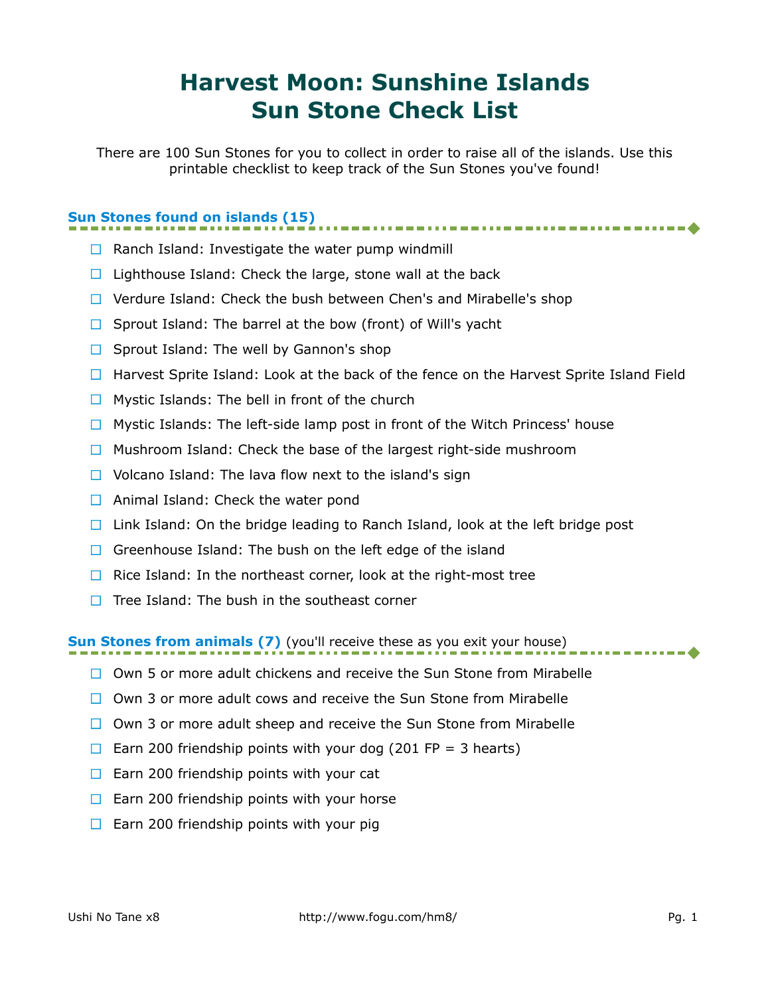# **Harvest Moon: Sunshine Islands Sun Stone Check List**

There are 100 Sun Stones for you to collect in order to raise all of the islands. Use this printable checklist to keep track of the Sun Stones you've found!

### **Sun Stones found on islands (15)**

- $\Box$  Ranch Island: Investigate the water pump windmill
- $\Box$  Lighthouse Island: Check the large, stone wall at the back
- □ Verdure Island: Check the bush between Chen's and Mirabelle's shop
- $\Box$  Sprout Island: The barrel at the bow (front) of Will's yacht
- $\Box$  Sprout Island: The well by Gannon's shop
- $\Box$  Harvest Sprite Island: Look at the back of the fence on the Harvest Sprite Island Field
- $\Box$  Mystic Islands: The bell in front of the church
- $\Box$  Mystic Islands: The left-side lamp post in front of the Witch Princess' house
- $\Box$  Mushroom Island: Check the base of the largest right-side mushroom
- $\Box$  Volcano Island: The lava flow next to the island's sign
- $\Box$  Animal Island: Check the water pond
- $\Box$  Link Island: On the bridge leading to Ranch Island, look at the left bridge post
- Greenhouse Island: The bush on the left edge of the island
- $\Box$  Rice Island: In the northeast corner, look at the right-most tree
- $\Box$  Tree Island: The bush in the southeast corner

#### **Sun Stones from animals (7)** (you'll receive these as you exit your house)

- $\Box$  Own 5 or more adult chickens and receive the Sun Stone from Mirabelle
- $\Box$  Own 3 or more adult cows and receive the Sun Stone from Mirabelle
- $\Box$  Own 3 or more adult sheep and receive the Sun Stone from Mirabelle
- Earn 200 friendship points with your dog (201 FP = 3 hearts)
- $\Box$  Earn 200 friendship points with your cat
- $\Box$  Earn 200 friendship points with your horse
- $\Box$  Earn 200 friendship points with your pig

--------4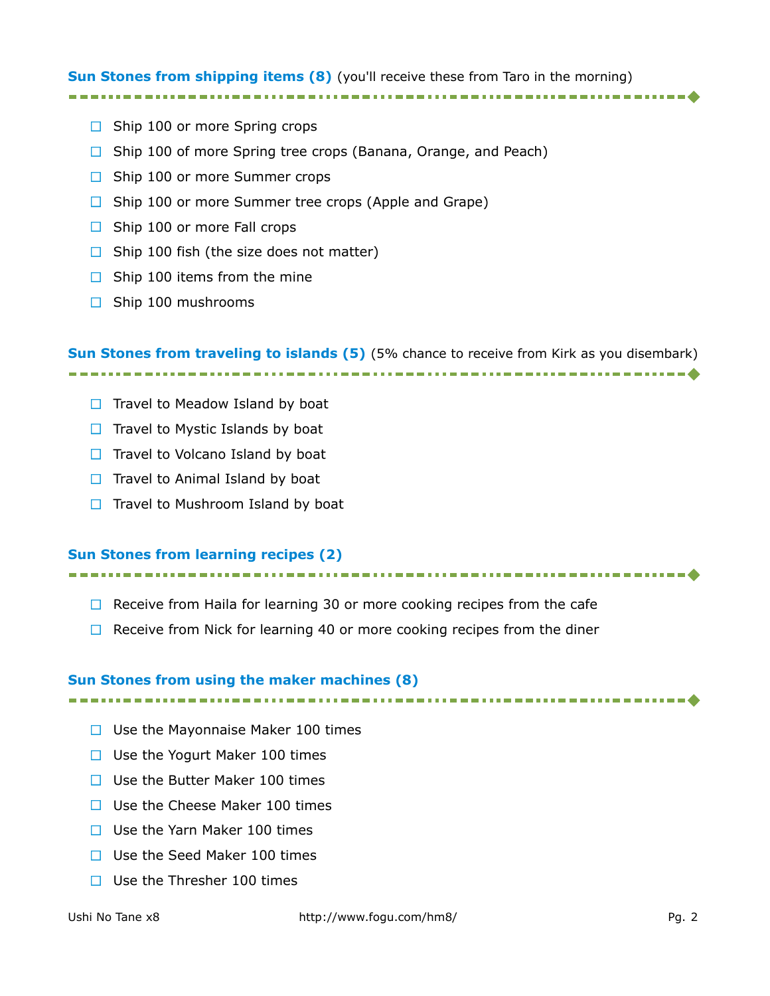#### **Sun Stones from shipping items (8)** (you'll receive these from Taro in the morning)

- $\Box$  Ship 100 or more Spring crops
- $\Box$  Ship 100 of more Spring tree crops (Banana, Orange, and Peach)
- $\Box$  Ship 100 or more Summer crops
- $\Box$  Ship 100 or more Summer tree crops (Apple and Grape)
- $\Box$  Ship 100 or more Fall crops
- $\Box$  Ship 100 fish (the size does not matter)
- $\Box$  Ship 100 items from the mine
- $\Box$  Ship 100 mushrooms

**Sun Stones from traveling to islands (5)** (5% chance to receive from Kirk as you disembark) 

- $\Box$  Travel to Meadow Island by boat
- $\Box$  Travel to Mystic Islands by boat
- $\Box$  Travel to Volcano Island by boat
- $\Box$  Travel to Animal Island by boat
- $\Box$  Travel to Mushroom Island by boat

#### **Sun Stones from learning recipes (2)**

- $\Box$  Receive from Haila for learning 30 or more cooking recipes from the cafe
- $\Box$  Receive from Nick for learning 40 or more cooking recipes from the diner

#### **Sun Stones from using the maker machines (8)**

- $\Box$  Use the Mayonnaise Maker 100 times
- $\Box$  Use the Yogurt Maker 100 times
- $\Box$  Use the Butter Maker 100 times
- $\Box$  Use the Cheese Maker 100 times
- $\Box$  Use the Yarn Maker 100 times
- □ Use the Seed Maker 100 times
- $\Box$  Use the Thresher 100 times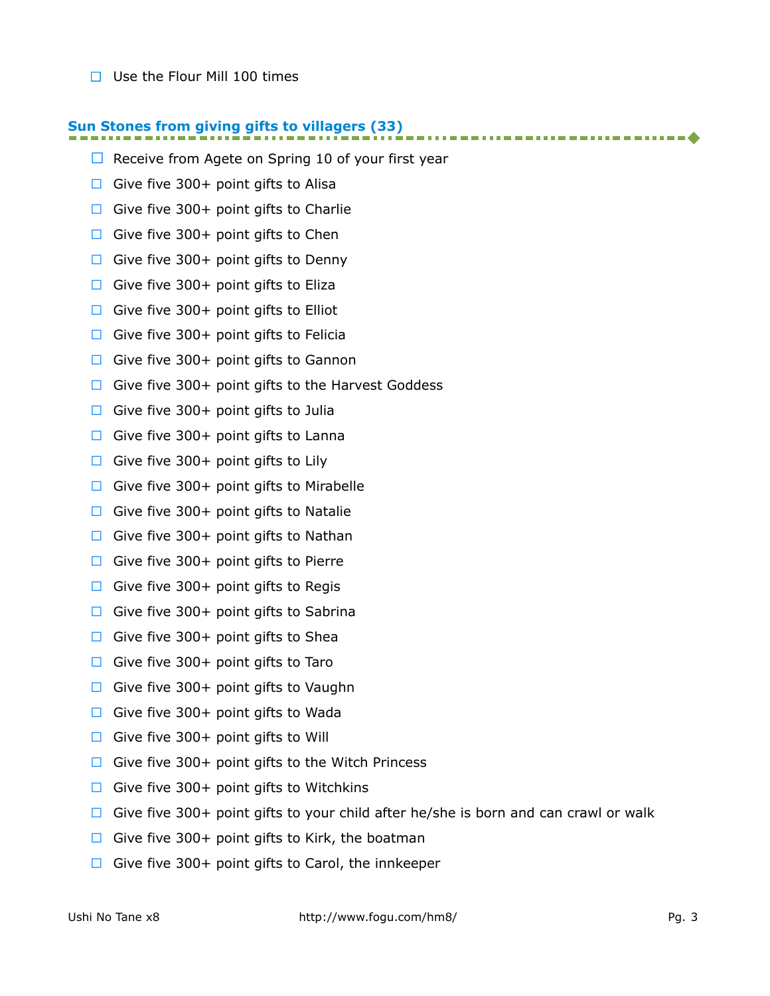$\Box$  Use the Flour Mill 100 times

## **Sun Stones from giving gifts to villagers (33)**

- $\Box$  Receive from Agete on Spring 10 of your first year
- Give five 300+ point gifts to Alisa
- Give five 300+ point gifts to Charlie
- Give five 300+ point gifts to Chen
- Give five 300+ point gifts to Denny
- Give five 300+ point gifts to Eliza
- Give five 300+ point gifts to Elliot
- Give five 300+ point gifts to Felicia
- Give five 300+ point gifts to Gannon
- $\Box$  Give five 300+ point gifts to the Harvest Goddess
- Give five 300+ point gifts to Julia
- Give five 300+ point gifts to Lanna
- Give five 300+ point gifts to Lily
- Give five 300+ point gifts to Mirabelle
- Give five 300+ point gifts to Natalie
- Give five 300+ point gifts to Nathan
- Give five 300+ point gifts to Pierre
- Give five 300+ point gifts to Regis
- Give five 300+ point gifts to Sabrina
- Give five 300+ point gifts to Shea
- Give five 300+ point gifts to Taro
- Give five 300+ point gifts to Vaughn
- Give five 300+ point gifts to Wada
- Give five 300+ point gifts to Will
- Give five 300+ point gifts to the Witch Princess
- Give five 300+ point gifts to Witchkins
- Give five 300+ point gifts to your child after he/she is born and can crawl or walk
- Give five 300+ point gifts to Kirk, the boatman
- Give five 300+ point gifts to Carol, the innkeeper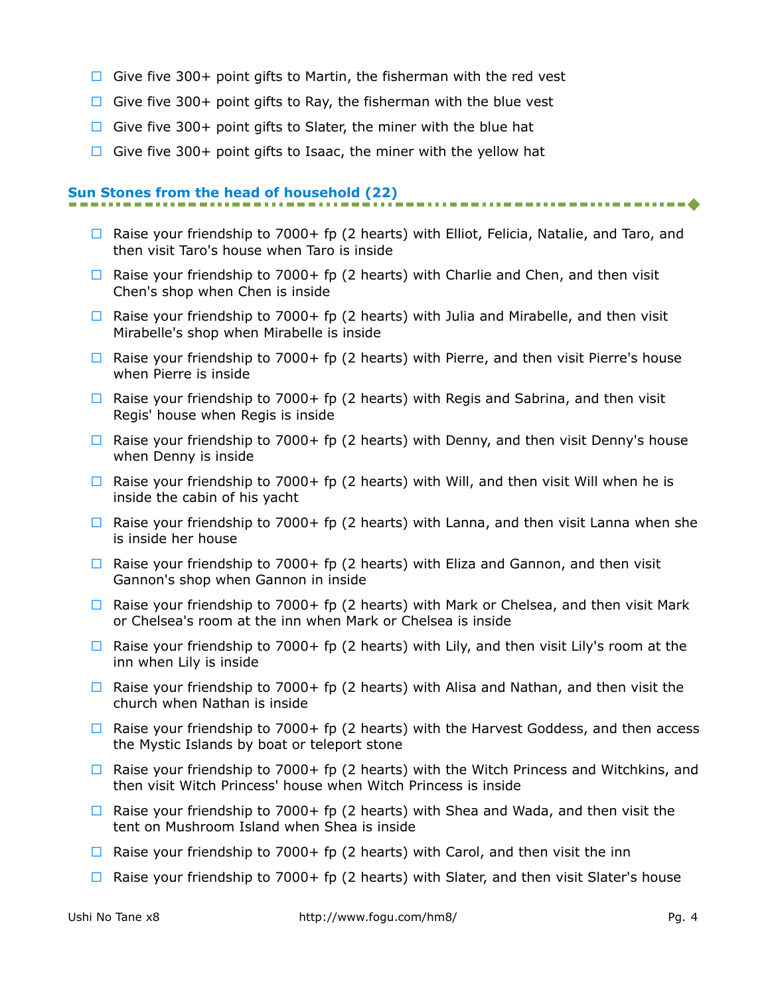- Give five 300+ point gifts to Martin, the fisherman with the red vest
- $\Box$  Give five 300+ point gifts to Ray, the fisherman with the blue vest
- Give five 300+ point gifts to Slater, the miner with the blue hat
- $\Box$  Give five 300+ point gifts to Isaac, the miner with the yellow hat

## **Sun Stones from the head of household (22)**

- $\Box$  Raise your friendship to 7000+ fp (2 hearts) with Elliot, Felicia, Natalie, and Taro, and then visit Taro's house when Taro is inside
- $\Box$  Raise your friendship to 7000+ fp (2 hearts) with Charlie and Chen, and then visit Chen's shop when Chen is inside
- $\Box$  Raise your friendship to 7000+ fp (2 hearts) with Julia and Mirabelle, and then visit Mirabelle's shop when Mirabelle is inside
- **E** Raise your friendship to 7000+ fp (2 hearts) with Pierre, and then visit Pierre's house when Pierre is inside
- $\Box$  Raise your friendship to 7000+ fp (2 hearts) with Regis and Sabrina, and then visit Regis' house when Regis is inside
- $\Box$  Raise your friendship to 7000+ fp (2 hearts) with Denny, and then visit Denny's house when Denny is inside
- $\Box$  Raise your friendship to 7000+ fp (2 hearts) with Will, and then visit Will when he is inside the cabin of his yacht
- $\Box$  Raise your friendship to 7000+ fp (2 hearts) with Lanna, and then visit Lanna when she is inside her house
- $\Box$  Raise your friendship to 7000+ fp (2 hearts) with Eliza and Gannon, and then visit Gannon's shop when Gannon in inside
- $\Box$  Raise your friendship to 7000+ fp (2 hearts) with Mark or Chelsea, and then visit Mark or Chelsea's room at the inn when Mark or Chelsea is inside
- $\Box$  Raise your friendship to 7000+ fp (2 hearts) with Lily, and then visit Lily's room at the inn when Lily is inside
- $\Box$  Raise your friendship to 7000+ fp (2 hearts) with Alisa and Nathan, and then visit the church when Nathan is inside
- $\Box$  Raise your friendship to 7000+ fp (2 hearts) with the Harvest Goddess, and then access the Mystic Islands by boat or teleport stone
- $\Box$  Raise your friendship to 7000+ fp (2 hearts) with the Witch Princess and Witchkins, and then visit Witch Princess' house when Witch Princess is inside
- $\Box$  Raise your friendship to 7000+ fp (2 hearts) with Shea and Wada, and then visit the tent on Mushroom Island when Shea is inside
- $\Box$  Raise your friendship to 7000+ fp (2 hearts) with Carol, and then visit the inn
- $\Box$  Raise your friendship to 7000+ fp (2 hearts) with Slater, and then visit Slater's house

. . . . . . . . . . . . . . . . . 4